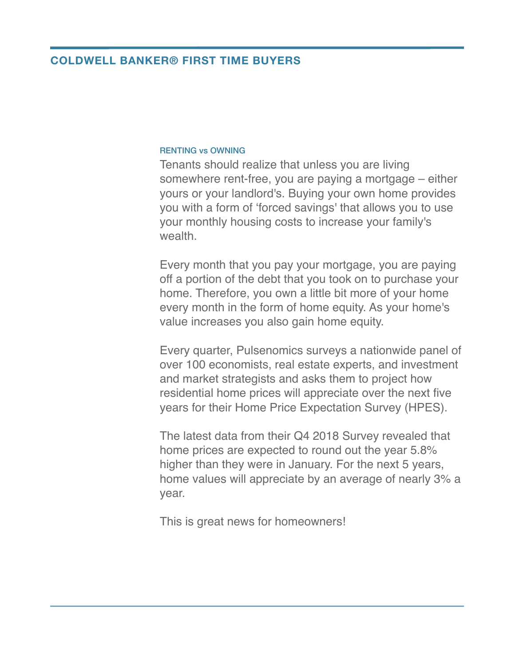## **COLDWELL BANKER® FIRST TIME BUYERS**

## RENTING vs OWNING

Tenants should realize that unless you are living somewhere rent-free, you are paying a mortgage – either yours or your landlord's. Buying your own home provides you with a form of 'forced savings' that allows you to use your monthly housing costs to increase your family's wealth.

Every month that you pay your mortgage, you are paying off a portion of the debt that you took on to purchase your home. Therefore, you own a little bit more of your home every month in the form of home equity. As your home's value increases you also gain home equity.

Every quarter, Pulsenomics surveys a nationwide panel of over 100 economists, real estate experts, and investment and market strategists and asks them to project how residential home prices will appreciate over the next five years for their Home Price Expectation Survey (HPES).

The latest data from their Q4 2018 Survey revealed that home prices are expected to round out the year 5.8% higher than they were in January. For the next 5 years, home values will appreciate by an average of nearly 3% a year.

This is great news for homeowners!